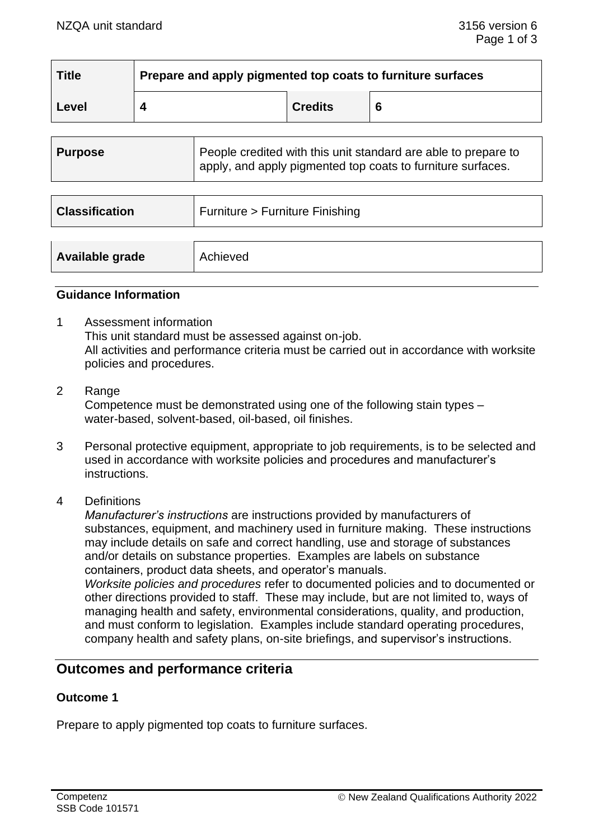| <b>Title</b> | Prepare and apply pigmented top coats to furniture surfaces |                |   |  |
|--------------|-------------------------------------------------------------|----------------|---|--|
| Level        |                                                             | <b>Credits</b> | 6 |  |

| People credited with this unit standard are able to prepare to<br>apply, and apply pigmented top coats to furniture surfaces. |
|-------------------------------------------------------------------------------------------------------------------------------|
| Furniture > Furniture Finishing                                                                                               |
| Achieved                                                                                                                      |
|                                                                                                                               |

#### **Guidance Information**

- 1 Assessment information This unit standard must be assessed against on-job. All activities and performance criteria must be carried out in accordance with worksite policies and procedures.
- 2 Range Competence must be demonstrated using one of the following stain types – water-based, solvent-based, oil-based, oil finishes.
- 3 Personal protective equipment, appropriate to job requirements, is to be selected and used in accordance with worksite policies and procedures and manufacturer's instructions.
- 4 Definitions

*Manufacturer's instructions* are instructions provided by manufacturers of substances, equipment, and machinery used in furniture making. These instructions may include details on safe and correct handling, use and storage of substances and/or details on substance properties. Examples are labels on substance containers, product data sheets, and operator's manuals.

*Worksite policies and procedures* refer to documented policies and to documented or other directions provided to staff. These may include, but are not limited to, ways of managing health and safety, environmental considerations, quality, and production, and must conform to legislation. Examples include standard operating procedures, company health and safety plans, on-site briefings, and supervisor's instructions.

# **Outcomes and performance criteria**

### **Outcome 1**

Prepare to apply pigmented top coats to furniture surfaces.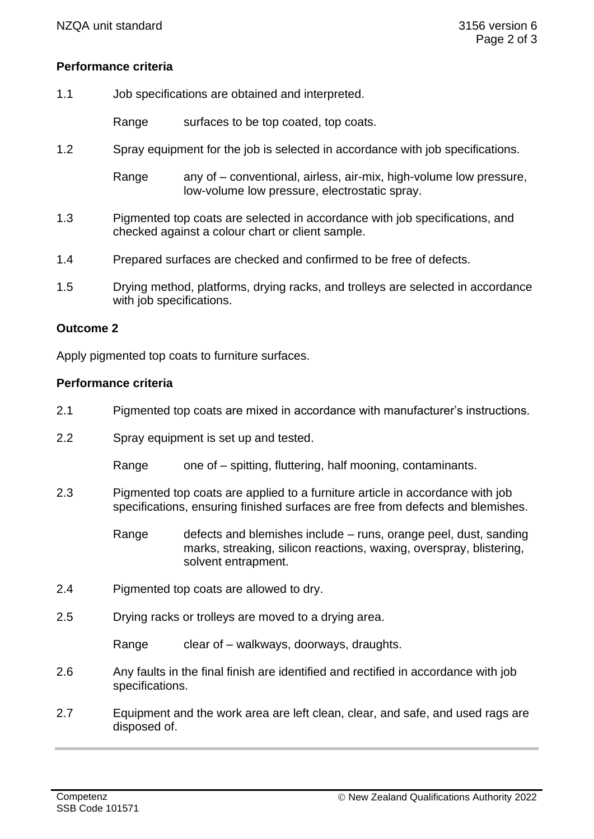## **Performance criteria**

1.1 Job specifications are obtained and interpreted.

Range surfaces to be top coated, top coats.

1.2 Spray equipment for the job is selected in accordance with job specifications.

Range any of – conventional, airless, air-mix, high-volume low pressure, low-volume low pressure, electrostatic spray.

- 1.3 Pigmented top coats are selected in accordance with job specifications, and checked against a colour chart or client sample.
- 1.4 Prepared surfaces are checked and confirmed to be free of defects.
- 1.5 Drying method, platforms, drying racks, and trolleys are selected in accordance with job specifications.

#### **Outcome 2**

Apply pigmented top coats to furniture surfaces.

#### **Performance criteria**

- 2.1 Pigmented top coats are mixed in accordance with manufacturer's instructions.
- 2.2 Spray equipment is set up and tested.

Range one of – spitting, fluttering, half mooning, contaminants.

- 2.3 Pigmented top coats are applied to a furniture article in accordance with job specifications, ensuring finished surfaces are free from defects and blemishes.
	- Range defects and blemishes include runs, orange peel, dust, sanding marks, streaking, silicon reactions, waxing, overspray, blistering, solvent entrapment.
- 2.4 Pigmented top coats are allowed to dry.
- 2.5 Drying racks or trolleys are moved to a drying area.

Range clear of – walkways, doorways, draughts.

- 2.6 Any faults in the final finish are identified and rectified in accordance with job specifications.
- 2.7 Equipment and the work area are left clean, clear, and safe, and used rags are disposed of.